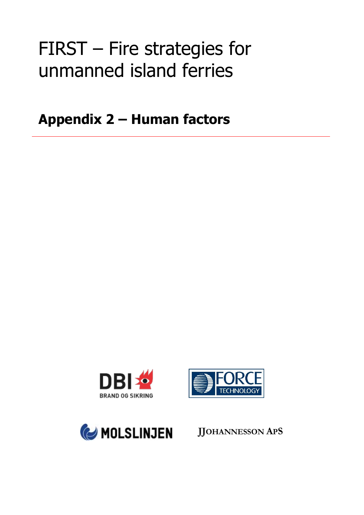# FIRST – Fire strategies for unmanned island ferries

**Appendix 2 – Human factors**







**JJOHANNESSON APS**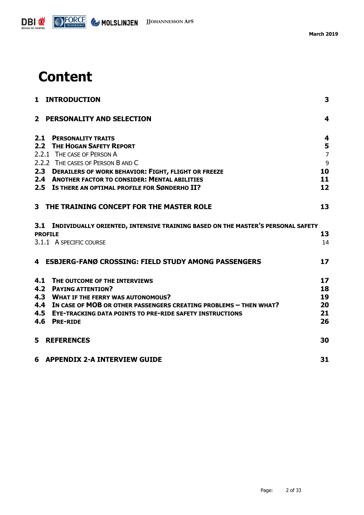

## **Content**

|                | 1 INTRODUCTION                                                                                                                           | 3                       |
|----------------|------------------------------------------------------------------------------------------------------------------------------------------|-------------------------|
| 2 <sup>1</sup> | <b>PERSONALITY AND SELECTION</b>                                                                                                         | $\overline{\mathbf{4}}$ |
| 2.1            | <b>PERSONALITY TRAITS</b>                                                                                                                | 4                       |
|                | 2.2 THE HOGAN SAFETY REPORT<br>2.2.1 THE CASE OF PERSON A                                                                                | 5<br>$\overline{7}$     |
|                | 2.2.2 THE CASES OF PERSON B AND C                                                                                                        | 9                       |
|                | 2.3 DERAILERS OF WORK BEHAVIOR: FIGHT, FLIGHT OR FREEZE                                                                                  | 10                      |
|                | 2.4 ANOTHER FACTOR TO CONSIDER: MENTAL ABILITIES                                                                                         | 11                      |
|                | 2.5 IS THERE AN OPTIMAL PROFILE FOR SØNDERHO II?                                                                                         | 12                      |
|                | 3 THE TRAINING CONCEPT FOR THE MASTER ROLE                                                                                               | 13                      |
|                | 3.1 INDIVIDUALLY ORIENTED, INTENSIVE TRAINING BASED ON THE MASTER'S PERSONAL SAFETY                                                      |                         |
|                | <b>PROFILE</b>                                                                                                                           | 13                      |
|                | 3.1.1 A SPECIFIC COURSE                                                                                                                  | 14                      |
|                | 4 ESBJERG-FANØ CROSSING: FIELD STUDY AMONG PASSENGERS                                                                                    | 17                      |
| 4.1            | THE OUTCOME OF THE INTERVIEWS                                                                                                            | 17                      |
| 4.2            | <b>PAYING ATTENTION?</b>                                                                                                                 | 18                      |
|                | 4.3 WHAT IF THE FERRY WAS AUTONOMOUS?                                                                                                    | 19                      |
| 4.5            | 4.4 IN CASE OF MOB OR OTHER PASSENGERS CREATING PROBLEMS - THEN WHAT?<br><b>EYE-TRACKING DATA POINTS TO PRE-RIDE SAFETY INSTRUCTIONS</b> | 20<br>21                |
| 4.6            | <b>PRE-RIDE</b>                                                                                                                          | 26                      |
| 5              | <b>REFERENCES</b>                                                                                                                        | 30                      |
|                | <b>6 APPENDIX 2-A INTERVIEW GUIDE</b>                                                                                                    | 31                      |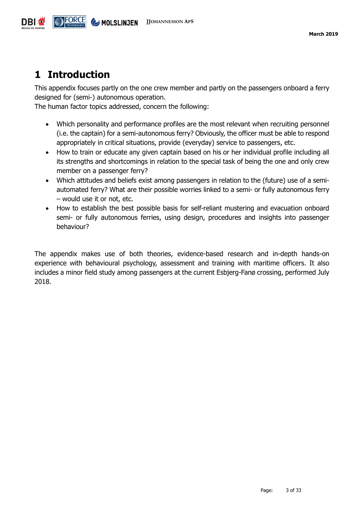

## <span id="page-2-0"></span>**1 Introduction**

This appendix focuses partly on the one crew member and partly on the passengers onboard a ferry designed for (semi-) autonomous operation.

The human factor topics addressed, concern the following:

- Which personality and performance profiles are the most relevant when recruiting personnel (i.e. the captain) for a semi-autonomous ferry? Obviously, the officer must be able to respond appropriately in critical situations, provide (everyday) service to passengers, etc.
- How to train or educate any given captain based on his or her individual profile including all its strengths and shortcomings in relation to the special task of being the one and only crew member on a passenger ferry?
- Which attitudes and beliefs exist among passengers in relation to the (future) use of a semiautomated ferry? What are their possible worries linked to a semi- or fully autonomous ferry – would use it or not, etc.
- How to establish the best possible basis for self-reliant mustering and evacuation onboard semi- or fully autonomous ferries, using design, procedures and insights into passenger behaviour?

The appendix makes use of both theories, evidence-based research and in-depth hands-on experience with behavioural psychology, assessment and training with maritime officers. It also includes a minor field study among passengers at the current Esbjerg-Fanø crossing, performed July 2018.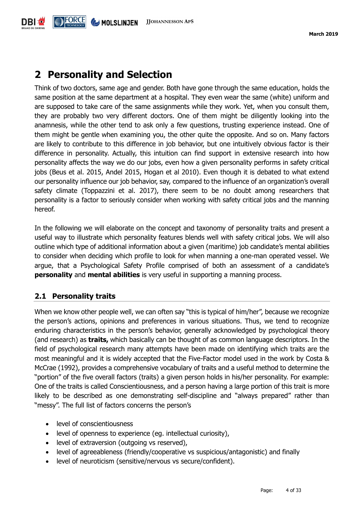## <span id="page-3-0"></span>**2 Personality and Selection**

Think of two doctors, same age and gender. Both have gone through the same education, holds the same position at the same department at a hospital. They even wear the same (white) uniform and are supposed to take care of the same assignments while they work. Yet, when you consult them, they are probably two very different doctors. One of them might be diligently looking into the anamnesis, while the other tend to ask only a few questions, trusting experience instead. One of them might be gentle when examining you, the other quite the opposite. And so on. Many factors are likely to contribute to this difference in job behavior, but one intuitively obvious factor is their difference in personality. Actually, this intuition can find support in extensive research into how personality affects the way we do our jobs, even how a given personality performs in safety critical jobs (Beus et al. 2015, Andel 2015, Hogan et al 2010). Even though it is debated to what extend our personality influence our job behavior, say, compared to the influence of an organization's overall safety climate (Toppazzini et al. 2017), there seem to be no doubt among researchers that personality is a factor to seriously consider when working with safety critical jobs and the manning hereof.

In the following we will elaborate on the concept and taxonomy of personality traits and present a useful way to illustrate which personality features blends well with safety critical jobs. We will also outline which type of additional information about a given (maritime) job candidate's mental abilities to consider when deciding which profile to look for when manning a one-man operated vessel. We argue, that a Psychological Safety Profile comprised of both an assessment of a candidate's **personality** and **mental abilities** is very useful in supporting a manning process.

#### <span id="page-3-1"></span>**2.1 Personality traits**

When we know other people well, we can often say "this is typical of him/her", because we recognize the person's actions, opinions and preferences in various situations. Thus, we tend to recognize enduring characteristics in the person's behavior, generally acknowledged by psychological theory (and research) as **traits,** which basically can be thought of as common language descriptors. In the field of psychological research many attempts have been made on identifying which traits are the most meaningful and it is widely accepted that the Five-Factor model used in the work by Costa & McCrae (1992), provides a comprehensive vocabulary of traits and a useful method to determine the "portion" of the five overall factors (traits) a given person holds in his/her personality. For example: One of the traits is called Conscientiousness, and a person having a large portion of this trait is more likely to be described as one demonstrating self-discipline and "always prepared" rather than "messy". The full list of factors concerns the person's

- level of conscientiousness
- level of openness to experience (eg. intellectual curiosity),
- level of extraversion (outgoing vs reserved),
- level of agreeableness (friendly/cooperative vs suspicious/antagonistic) and finally
- level of neuroticism (sensitive/nervous vs secure/confident).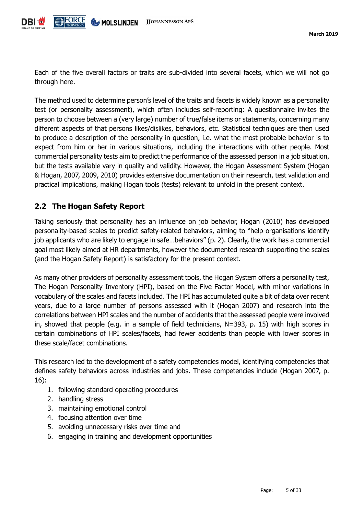Each of the five overall factors or traits are sub-divided into several facets, which we will not go through here.

The method used to determine person's level of the traits and facets is widely known as a personality test (or personality assessment), which often includes self-reporting: A questionnaire invites the person to choose between a (very large) number of true/false items or statements, concerning many different aspects of that persons likes/dislikes, behaviors, etc. Statistical techniques are then used to produce a description of the personality in question, i.e. what the most probable behavior is to expect from him or her in various situations, including the interactions with other people. Most commercial personality tests aim to predict the performance of the assessed person in a job situation, but the tests available vary in quality and validity. However, the Hogan Assessment System (Hogan & Hogan, 2007, 2009, 2010) provides extensive documentation on their research, test validation and practical implications, making Hogan tools (tests) relevant to unfold in the present context.

#### <span id="page-4-0"></span>**2.2 The Hogan Safety Report**

Taking seriously that personality has an influence on job behavior, Hogan (2010) has developed personality-based scales to predict safety-related behaviors, aiming to "help organisations identify job applicants who are likely to engage in safe…behaviors" (p. 2). Clearly, the work has a commercial goal most likely aimed at HR departments, however the documented research supporting the scales (and the Hogan Safety Report) is satisfactory for the present context.

As many other providers of personality assessment tools, the Hogan System offers a personality test, The Hogan Personality Inventory (HPI), based on the Five Factor Model, with minor variations in vocabulary of the scales and facets included. The HPI has accumulated quite a bit of data over recent years, due to a large number of persons assessed with it (Hogan 2007) and research into the correlations between HPI scales and the number of accidents that the assessed people were involved in, showed that people (e.g. in a sample of field technicians, N=393, p. 15) with high scores in certain combinations of HPI scales/facets, had fewer accidents than people with lower scores in these scale/facet combinations.

This research led to the development of a safety competencies model, identifying competencies that defines safety behaviors across industries and jobs. These competencies include (Hogan 2007, p. 16):

- 1. following standard operating procedures
- 2. handling stress
- 3. maintaining emotional control
- 4. focusing attention over time
- 5. avoiding unnecessary risks over time and
- 6. engaging in training and development opportunities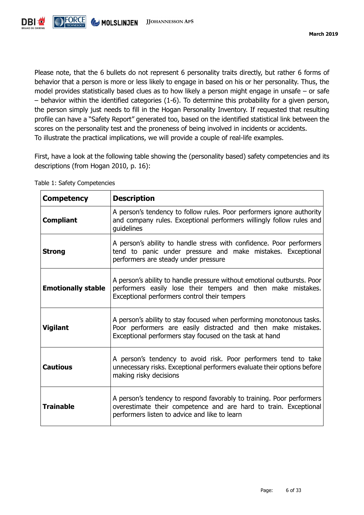

Please note, that the 6 bullets do not represent 6 personality traits directly, but rather 6 forms of behavior that a person is more or less likely to engage in based on his or her personality. Thus, the model provides statistically based clues as to how likely a person might engage in unsafe – or safe – behavior within the identified categories (1-6). To determine this probability for a given person, the person simply just needs to fill in the Hogan Personality Inventory. If requested that resulting profile can have a "Safety Report" generated too, based on the identified statistical link between the scores on the personality test and the proneness of being involved in incidents or accidents. To illustrate the practical implications, we will provide a couple of real-life examples.

First, have a look at the following table showing the (personality based) safety competencies and its descriptions (from Hogan 2010, p. 16):

| <b>Competency</b>         | <b>Description</b>                                                                                                                                                                               |
|---------------------------|--------------------------------------------------------------------------------------------------------------------------------------------------------------------------------------------------|
| <b>Compliant</b>          | A person's tendency to follow rules. Poor performers ignore authority<br>and company rules. Exceptional performers willingly follow rules and<br>guidelines                                      |
| <b>Strong</b>             | A person's ability to handle stress with confidence. Poor performers<br>tend to panic under pressure and make mistakes. Exceptional<br>performers are steady under pressure                      |
| <b>Emotionally stable</b> | A person's ability to handle pressure without emotional outbursts. Poor<br>performers easily lose their tempers and then make mistakes.<br>Exceptional performers control their tempers          |
| <b>Vigilant</b>           | A person's ability to stay focused when performing monotonous tasks.<br>Poor performers are easily distracted and then make mistakes.<br>Exceptional performers stay focused on the task at hand |
| <b>Cautious</b>           | A person's tendency to avoid risk. Poor performers tend to take<br>unnecessary risks. Exceptional performers evaluate their options before<br>making risky decisions                             |
| <b>Trainable</b>          | A person's tendency to respond favorably to training. Poor performers<br>overestimate their competence and are hard to train. Exceptional<br>performers listen to advice and like to learn       |

Table 1: Safety Competencies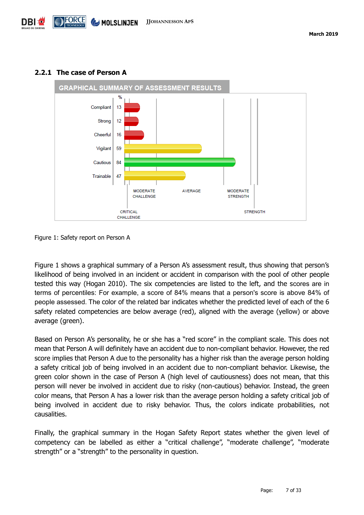

#### <span id="page-6-0"></span>**2.2.1 The case of Person A**

Figure 1 shows a graphical summary of a Person A's assessment result, thus showing that person's likelihood of being involved in an incident or accident in comparison with the pool of other people tested this way (Hogan 2010). The six competencies are listed to the left, and the scores are in terms of percentiles: For example, a score of 84% means that a person's score is above 84% of people assessed. The color of the related bar indicates whether the predicted level of each of the 6 safety related competencies are below average (red), aligned with the average (yellow) or above average (green).

Based on Person A's personality, he or she has a "red score" in the compliant scale. This does not mean that Person A will definitely have an accident due to non-compliant behavior. However, the red score implies that Person A due to the personality has a higher risk than the average person holding a safety critical job of being involved in an accident due to non-compliant behavior. Likewise, the green color shown in the case of Person A (high level of cautiousness) does not mean, that this person will never be involved in accident due to risky (non-cautious) behavior. Instead, the green color means, that Person A has a lower risk than the average person holding a safety critical job of being involved in accident due to risky behavior. Thus, the colors indicate probabilities, not causalities.

Finally, the graphical summary in the Hogan Safety Report states whether the given level of competency can be labelled as either a "critical challenge", "moderate challenge", "moderate strength" or a "strength" to the personality in question.

Figure 1: Safety report on Person A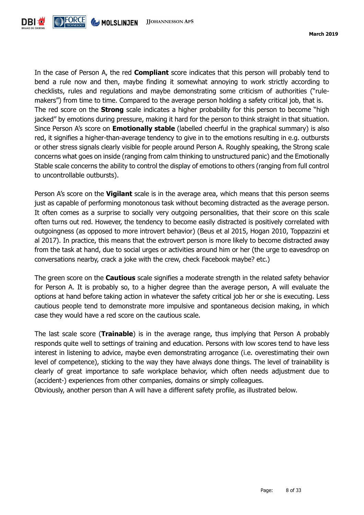

In the case of Person A, the red **Compliant** score indicates that this person will probably tend to bend a rule now and then, maybe finding it somewhat annoying to work strictly according to checklists, rules and regulations and maybe demonstrating some criticism of authorities ("rulemakers") from time to time. Compared to the average person holding a safety critical job, that is. The red score on the **Strong** scale indicates a higher probability for this person to become "high jacked" by emotions during pressure, making it hard for the person to think straight in that situation. Since Person A's score on **Emotionally stable** (labelled cheerful in the graphical summary) is also red, it signifies a higher-than-average tendency to give in to the emotions resulting in e.g. outbursts or other stress signals clearly visible for people around Person A. Roughly speaking, the Strong scale concerns what goes on inside (ranging from calm thinking to unstructured panic) and the Emotionally Stable scale concerns the ability to control the display of emotions to others (ranging from full control to uncontrollable outbursts).

Person A's score on the **Vigilant** scale is in the average area, which means that this person seems just as capable of performing monotonous task without becoming distracted as the average person. It often comes as a surprise to socially very outgoing personalities, that their score on this scale often turns out red. However, the tendency to become easily distracted is positively correlated with outgoingness (as opposed to more introvert behavior) (Beus et al 2015, Hogan 2010, Toppazzini et al 2017). In practice, this means that the extrovert person is more likely to become distracted away from the task at hand, due to social urges or activities around him or her (the urge to eavesdrop on conversations nearby, crack a joke with the crew, check Facebook maybe? etc.)

The green score on the **Cautious** scale signifies a moderate strength in the related safety behavior for Person A. It is probably so, to a higher degree than the average person, A will evaluate the options at hand before taking action in whatever the safety critical job her or she is executing. Less cautious people tend to demonstrate more impulsive and spontaneous decision making, in which case they would have a red score on the cautious scale.

The last scale score (**Trainable**) is in the average range, thus implying that Person A probably responds quite well to settings of training and education. Persons with low scores tend to have less interest in listening to advice, maybe even demonstrating arrogance (i.e. overestimating their own level of competence), sticking to the way they have always done things. The level of trainability is clearly of great importance to safe workplace behavior, which often needs adjustment due to (accident-) experiences from other companies, domains or simply colleagues.

Obviously, another person than A will have a different safety profile, as illustrated below.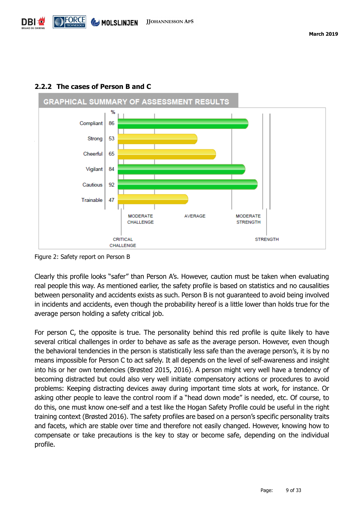

#### <span id="page-8-0"></span>**2.2.2 The cases of Person B and C**

Figure 2: Safety report on Person B

Clearly this profile looks "safer" than Person A's. However, caution must be taken when evaluating real people this way. As mentioned earlier, the safety profile is based on statistics and no causalities between personality and accidents exists as such. Person B is not guaranteed to avoid being involved in incidents and accidents, even though the probability hereof is a little lower than holds true for the average person holding a safety critical job.

For person C, the opposite is true. The personality behind this red profile is quite likely to have several critical challenges in order to behave as safe as the average person. However, even though the behavioral tendencies in the person is statistically less safe than the average person's, it is by no means impossible for Person C to act safely. It all depends on the level of self-awareness and insight into his or her own tendencies (Brøsted 2015, 2016). A person might very well have a tendency of becoming distracted but could also very well initiate compensatory actions or procedures to avoid problems: Keeping distracting devices away during important time slots at work, for instance. Or asking other people to leave the control room if a "head down mode" is needed, etc. Of course, to do this, one must know one-self and a test like the Hogan Safety Profile could be useful in the right training context (Brøsted 2016). The safety profiles are based on a person's specific personality traits and facets, which are stable over time and therefore not easily changed. However, knowing how to compensate or take precautions is the key to stay or become safe, depending on the individual profile.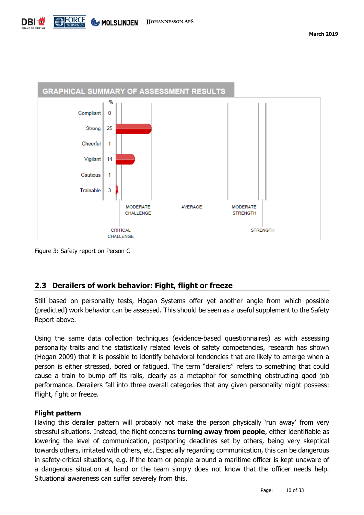

Figure 3: Safety report on Person C

#### <span id="page-9-0"></span>**2.3 Derailers of work behavior: Fight, flight or freeze**

Still based on personality tests, Hogan Systems offer yet another angle from which possible (predicted) work behavior can be assessed. This should be seen as a useful supplement to the Safety Report above.

Using the same data collection techniques (evidence-based questionnaires) as with assessing personality traits and the statistically related levels of safety competencies, research has shown (Hogan 2009) that it is possible to identify behavioral tendencies that are likely to emerge when a person is either stressed, bored or fatigued. The term "derailers" refers to something that could cause a train to bump off its rails, clearly as a metaphor for something obstructing good job performance. Derailers fall into three overall categories that any given personality might possess: Flight, fight or freeze.

#### **Flight pattern**

Having this derailer pattern will probably not make the person physically 'run away' from very stressful situations. Instead, the flight concerns **turning away from people**, either identifiable as lowering the level of communication, postponing deadlines set by others, being very skeptical towards others, irritated with others, etc. Especially regarding communication, this can be dangerous in safety-critical situations, e.g. if the team or people around a maritime officer is kept unaware of a dangerous situation at hand or the team simply does not know that the officer needs help. Situational awareness can suffer severely from this.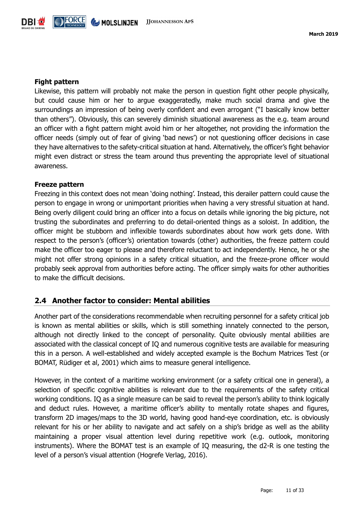

#### **Fight pattern**

Likewise, this pattern will probably not make the person in question fight other people physically, but could cause him or her to argue exaggeratedly, make much social drama and give the surroundings an impression of being overly confident and even arrogant ("I basically know better than others"). Obviously, this can severely diminish situational awareness as the e.g. team around an officer with a fight pattern might avoid him or her altogether, not providing the information the officer needs (simply out of fear of giving 'bad news') or not questioning officer decisions in case they have alternatives to the safety-critical situation at hand. Alternatively, the officer's fight behavior might even distract or stress the team around thus preventing the appropriate level of situational awareness.

#### **Freeze pattern**

Freezing in this context does not mean 'doing nothing'. Instead, this derailer pattern could cause the person to engage in wrong or unimportant priorities when having a very stressful situation at hand. Being overly diligent could bring an officer into a focus on details while ignoring the big picture, not trusting the subordinates and preferring to do detail-oriented things as a soloist. In addition, the officer might be stubborn and inflexible towards subordinates about how work gets done. With respect to the person's (officer's) orientation towards (other) authorities, the freeze pattern could make the officer too eager to please and therefore reluctant to act independently. Hence, he or she might not offer strong opinions in a safety critical situation, and the freeze-prone officer would probably seek approval from authorities before acting. The officer simply waits for other authorities to make the difficult decisions.

#### <span id="page-10-0"></span>**2.4 Another factor to consider: Mental abilities**

Another part of the considerations recommendable when recruiting personnel for a safety critical job is known as mental abilities or skills, which is still something innately connected to the person, although not directly linked to the concept of personality. Quite obviously mental abilities are associated with the classical concept of IQ and numerous cognitive tests are available for measuring this in a person. A well-established and widely accepted example is the Bochum Matrices Test (or BOMAT, Rüdiger et al, 2001) which aims to measure general intelligence.

However, in the context of a maritime working environment (or a safety critical one in general), a selection of specific cognitive abilities is relevant due to the requirements of the safety critical working conditions. IQ as a single measure can be said to reveal the person's ability to think logically and deduct rules. However, a maritime officer's ability to mentally rotate shapes and figures, transform 2D images/maps to the 3D world, having good hand-eye coordination, etc. is obviously relevant for his or her ability to navigate and act safely on a ship's bridge as well as the ability maintaining a proper visual attention level during repetitive work (e.g. outlook, monitoring instruments). Where the BOMAT test is an example of IQ measuring, the d2-R is one testing the level of a person's visual attention (Hogrefe Verlag, 2016).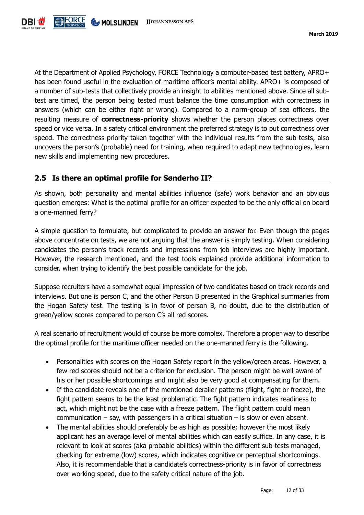

At the Department of Applied Psychology, FORCE Technology a computer-based test battery, APRO+ has been found useful in the evaluation of maritime officer's mental ability. APRO+ is composed of a number of sub-tests that collectively provide an insight to abilities mentioned above. Since all subtest are timed, the person being tested must balance the time consumption with correctness in answers (which can be either right or wrong). Compared to a norm-group of sea officers, the resulting measure of **correctness-priority** shows whether the person places correctness over speed or vice versa. In a safety critical environment the preferred strategy is to put correctness over speed. The correctness-priority taken together with the individual results from the sub-tests, also uncovers the person's (probable) need for training, when required to adapt new technologies, learn new skills and implementing new procedures.

#### <span id="page-11-0"></span>**2.5 Is there an optimal profile for Sønderho II?**

As shown, both personality and mental abilities influence (safe) work behavior and an obvious question emerges: What is the optimal profile for an officer expected to be the only official on board a one-manned ferry?

A simple question to formulate, but complicated to provide an answer for. Even though the pages above concentrate on tests, we are not arguing that the answer is simply testing. When considering candidates the person's track records and impressions from job interviews are highly important. However, the research mentioned, and the test tools explained provide additional information to consider, when trying to identify the best possible candidate for the job.

Suppose recruiters have a somewhat equal impression of two candidates based on track records and interviews. But one is person C, and the other Person B presented in the Graphical summaries from the Hogan Safety test. The testing is in favor of person B, no doubt, due to the distribution of green/yellow scores compared to person C's all red scores.

A real scenario of recruitment would of course be more complex. Therefore a proper way to describe the optimal profile for the maritime officer needed on the one-manned ferry is the following.

- Personalities with scores on the Hogan Safety report in the yellow/green areas. However, a few red scores should not be a criterion for exclusion. The person might be well aware of his or her possible shortcomings and might also be very good at compensating for them.
- If the candidate reveals one of the mentioned derailer patterns (flight, fight or freeze), the fight pattern seems to be the least problematic. The fight pattern indicates readiness to act, which might not be the case with a freeze pattern. The flight pattern could mean communication – say, with passengers in a critical situation – is slow or even absent.
- The mental abilities should preferably be as high as possible; however the most likely applicant has an average level of mental abilities which can easily suffice. In any case, it is relevant to look at scores (aka probable abilities) within the different sub-tests managed, checking for extreme (low) scores, which indicates cognitive or perceptual shortcomings. Also, it is recommendable that a candidate's correctness-priority is in favor of correctness over working speed, due to the safety critical nature of the job.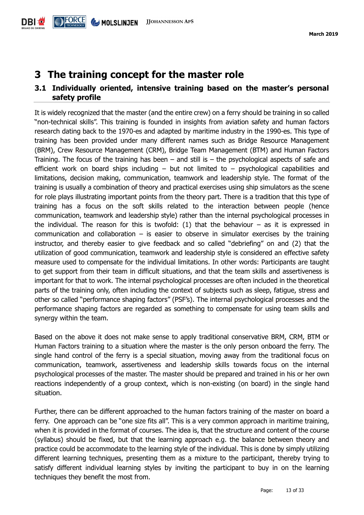## <span id="page-12-0"></span>**3 The training concept for the master role**

#### <span id="page-12-1"></span>**3.1 Individually oriented, intensive training based on the master's personal safety profile**

It is widely recognized that the master (and the entire crew) on a ferry should be training in so called "non-technical skills". This training is founded in insights from aviation safety and human factors research dating back to the 1970-es and adapted by maritime industry in the 1990-es. This type of training has been provided under many different names such as Bridge Resource Management (BRM), Crew Resource Management (CRM), Bridge Team Management (BTM) and Human Factors Training. The focus of the training has been  $-$  and still is  $-$  the psychological aspects of safe and efficient work on board ships including – but not limited to – psychological capabilities and limitations, decision making, communication, teamwork and leadership style. The format of the training is usually a combination of theory and practical exercises using ship simulators as the scene for role plays illustrating important points from the theory part. There is a tradition that this type of training has a focus on the soft skills related to the interaction between people (hence communication, teamwork and leadership style) rather than the internal psychological processes in the individual. The reason for this is twofold:  $(1)$  that the behaviour – as it is expressed in communication and collaboration  $-$  is easier to observe in simulator exercises by the training instructor, and thereby easier to give feedback and so called "debriefing" on and (2) that the utilization of good communication, teamwork and leadership style is considered an effective safety measure used to compensate for the individual limitations. In other words: Participants are taught to get support from their team in difficult situations, and that the team skills and assertiveness is important for that to work. The internal psychological processes are often included in the theoretical parts of the training only, often including the context of subjects such as sleep, fatigue, stress and other so called "performance shaping factors" (PSF's). The internal psychological processes and the performance shaping factors are regarded as something to compensate for using team skills and synergy within the team.

Based on the above it does not make sense to apply traditional conservative BRM, CRM, BTM or Human Factors training to a situation where the master is the only person onboard the ferry. The single hand control of the ferry is a special situation, moving away from the traditional focus on communication, teamwork, assertiveness and leadership skills towards focus on the internal psychological processes of the master. The master should be prepared and trained in his or her own reactions independently of a group context, which is non-existing (on board) in the single hand situation.

Further, there can be different approached to the human factors training of the master on board a ferry. One approach can be "one size fits all". This is a very common approach in maritime training, when it is provided in the format of courses. The idea is, that the structure and content of the course (syllabus) should be fixed, but that the learning approach e.g. the balance between theory and practice could be accommodate to the learning style of the individual. This is done by simply utilizing different learning techniques, presenting them as a mixture to the participant, thereby trying to satisfy different individual learning styles by inviting the participant to buy in on the learning techniques they benefit the most from.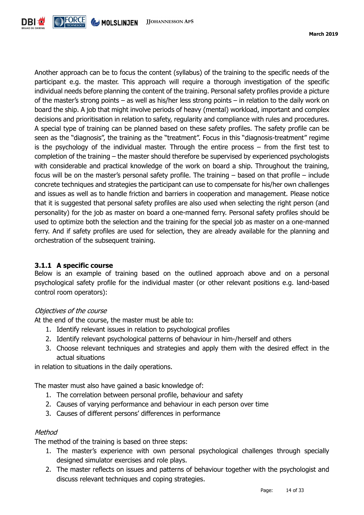

Another approach can be to focus the content (syllabus) of the training to the specific needs of the participant e.g. the master. This approach will require a thorough investigation of the specific individual needs before planning the content of the training. Personal safety profiles provide a picture of the master's strong points – as well as his/her less strong points – in relation to the daily work on board the ship. A job that might involve periods of heavy (mental) workload, important and complex decisions and prioritisation in relation to safety, regularity and compliance with rules and procedures. A special type of training can be planned based on these safety profiles. The safety profile can be seen as the "diagnosis", the training as the "treatment". Focus in this "diagnosis-treatment" regime is the psychology of the individual master. Through the entire process – from the first test to completion of the training – the master should therefore be supervised by experienced psychologists with considerable and practical knowledge of the work on board a ship. Throughout the training, focus will be on the master's personal safety profile. The training – based on that profile – include concrete techniques and strategies the participant can use to compensate for his/her own challenges and issues as well as to handle friction and barriers in cooperation and management. Please notice that it is suggested that personal safety profiles are also used when selecting the right person (and personality) for the job as master on board a one-manned ferry. Personal safety profiles should be used to optimize both the selection and the training for the special job as master on a one-manned ferry. And if safety profiles are used for selection, they are already available for the planning and orchestration of the subsequent training.

#### <span id="page-13-0"></span>**3.1.1 A specific course**

Below is an example of training based on the outlined approach above and on a personal psychological safety profile for the individual master (or other relevant positions e.g. land-based control room operators):

#### Objectives of the course

At the end of the course, the master must be able to:

- 1. Identify relevant issues in relation to psychological profiles
- 2. Identify relevant psychological patterns of behaviour in him-/herself and others
- 3. Choose relevant techniques and strategies and apply them with the desired effect in the actual situations

in relation to situations in the daily operations.

The master must also have gained a basic knowledge of:

- 1. The correlation between personal profile, behaviour and safety
- 2. Causes of varying performance and behaviour in each person over time
- 3. Causes of different persons' differences in performance

#### **Method**

The method of the training is based on three steps:

- 1. The master's experience with own personal psychological challenges through specially designed simulator exercises and role plays.
- 2. The master reflects on issues and patterns of behaviour together with the psychologist and discuss relevant techniques and coping strategies.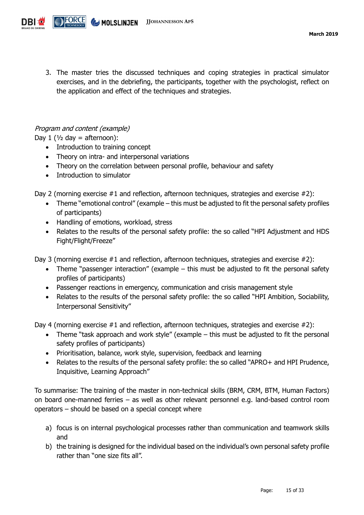

3. The master tries the discussed techniques and coping strategies in practical simulator exercises, and in the debriefing, the participants, together with the psychologist, reflect on the application and effect of the techniques and strategies.

#### Program and content (example)

Day 1 ( $\frac{1}{2}$  day = afternoon):

- Introduction to training concept
- Theory on intra- and interpersonal variations
- Theory on the correlation between personal profile, behaviour and safety
- Introduction to simulator

Day 2 (morning exercise  $#1$  and reflection, afternoon techniques, strategies and exercise  $#2$ ):

- Theme "emotional control" (example this must be adjusted to fit the personal safety profiles of participants)
- Handling of emotions, workload, stress
- Relates to the results of the personal safety profile: the so called "HPI Adjustment and HDS Fight/Flight/Freeze"

Day 3 (morning exercise #1 and reflection, afternoon techniques, strategies and exercise #2):

- Theme "passenger interaction" (example this must be adjusted to fit the personal safety profiles of participants)
- Passenger reactions in emergency, communication and crisis management style
- Relates to the results of the personal safety profile: the so called "HPI Ambition, Sociability, Interpersonal Sensitivity"

Day 4 (morning exercise #1 and reflection, afternoon techniques, strategies and exercise #2):

- Theme "task approach and work style" (example this must be adjusted to fit the personal safety profiles of participants)
- Prioritisation, balance, work style, supervision, feedback and learning
- Relates to the results of the personal safety profile: the so called "APRO+ and HPI Prudence, Inquisitive, Learning Approach"

To summarise: The training of the master in non-technical skills (BRM, CRM, BTM, Human Factors) on board one-manned ferries – as well as other relevant personnel e.g. land-based control room operators – should be based on a special concept where

- a) focus is on internal psychological processes rather than communication and teamwork skills and
- b) the training is designed for the individual based on the individual's own personal safety profile rather than "one size fits all".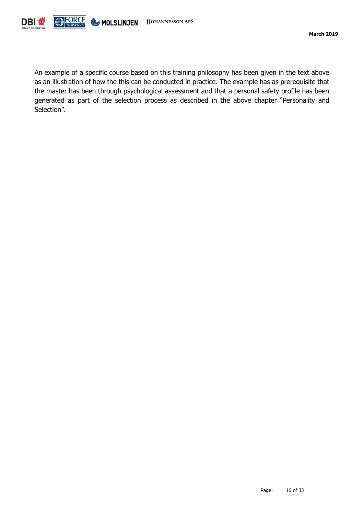

An example of a specific course based on this training philosophy has been given in the text above as an illustration of how the this can be conducted in practice. The example has as prerequisite that the master has been through psychological assessment and that a personal safety profile has been generated as part of the selection process as described in the above chapter "Personality and Selection".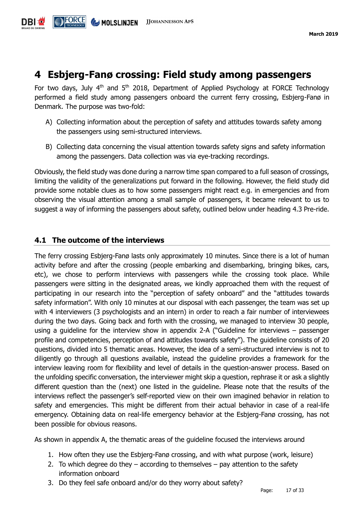

## <span id="page-16-0"></span>**4 Esbjerg-Fanø crossing: Field study among passengers**

For two days, July  $4<sup>th</sup>$  and  $5<sup>th</sup>$  2018, Department of Applied Psychology at FORCE Technology performed a field study among passengers onboard the current ferry crossing, Esbjerg-Fanø in Denmark. The purpose was two-fold:

- A) Collecting information about the perception of safety and attitudes towards safety among the passengers using semi-structured interviews.
- B) Collecting data concerning the visual attention towards safety signs and safety information among the passengers. Data collection was via eye-tracking recordings.

Obviously, the field study was done during a narrow time span compared to a full season of crossings, limiting the validity of the generalizations put forward in the following. However, the field study did provide some notable clues as to how some passengers might react e.g. in emergencies and from observing the visual attention among a small sample of passengers, it became relevant to us to suggest a way of informing the passengers about safety, outlined below under heading 4.3 Pre-ride.

#### <span id="page-16-1"></span>**4.1 The outcome of the interviews**

The ferry crossing Esbjerg-Fanø lasts only approximately 10 minutes. Since there is a lot of human activity before and after the crossing (people embarking and disembarking, bringing bikes, cars, etc), we chose to perform interviews with passengers while the crossing took place. While passengers were sitting in the designated areas, we kindly approached them with the request of participating in our research into the "perception of safety onboard" and the "attitudes towards safety information". With only 10 minutes at our disposal with each passenger, the team was set up with 4 interviewers (3 psychologists and an intern) in order to reach a fair number of interviewees during the two days. Going back and forth with the crossing, we managed to interview 30 people, using a guideline for the interview show in appendix 2-A ("Guideline for interviews – passenger profile and competencies, perception of and attitudes towards safety"). The guideline consists of 20 questions, divided into 5 thematic areas. However, the idea of a semi-structured interview is not to diligently go through all questions available, instead the guideline provides a framework for the interview leaving room for flexibility and level of details in the question-answer process. Based on the unfolding specific conversation, the interviewer might skip a question, rephrase it or ask a slightly different question than the (next) one listed in the guideline. Please note that the results of the interviews reflect the passenger's self-reported view on their own imagined behavior in relation to safety and emergencies. This might be different from their actual behavior in case of a real-life emergency. Obtaining data on real-life emergency behavior at the Esbjerg-Fanø crossing, has not been possible for obvious reasons.

As shown in appendix A, the thematic areas of the guideline focused the interviews around

- 1. How often they use the Esbjerg-Fanø crossing, and with what purpose (work, leisure)
- 2. To which degree do they  $-$  according to themselves  $-$  pay attention to the safety information onboard
- 3. Do they feel safe onboard and/or do they worry about safety?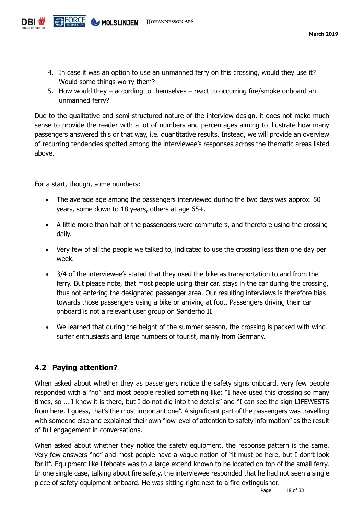- 4. In case it was an option to use an unmanned ferry on this crossing, would they use it? Would some things worry them?
- 5. How would they according to themselves react to occurring fire/smoke onboard an unmanned ferry?

Due to the qualitative and semi-structured nature of the interview design, it does not make much sense to provide the reader with a lot of numbers and percentages aiming to illustrate how many passengers answered this or that way, i.e. quantitative results. Instead, we will provide an overview of recurring tendencies spotted among the interviewee's responses across the thematic areas listed above.

For a start, though, some numbers:

- The average age among the passengers interviewed during the two days was approx. 50 years, some down to 18 years, others at age 65+.
- A little more than half of the passengers were commuters, and therefore using the crossing daily.
- Very few of all the people we talked to, indicated to use the crossing less than one day per week.
- 3/4 of the interviewee's stated that they used the bike as transportation to and from the ferry. But please note, that most people using their car, stays in the car during the crossing, thus not entering the designated passenger area. Our resulting interviews is therefore bias towards those passengers using a bike or arriving at foot. Passengers driving their car onboard is not a relevant user group on Sønderho II
- We learned that during the height of the summer season, the crossing is packed with wind surfer enthusiasts and large numbers of tourist, mainly from Germany.

#### <span id="page-17-0"></span>**4.2 Paying attention?**

When asked about whether they as passengers notice the safety signs onboard, very few people responded with a "no" and most people replied something like: "I have used this crossing so many times, so … I know it is there, but I do not dig into the details" and "I can see the sign LIFEWESTS from here. I guess, that's the most important one". A significant part of the passengers was travelling with someone else and explained their own "low level of attention to safety information" as the result of full engagement in conversations.

When asked about whether they notice the safety equipment, the response pattern is the same. Very few answers "no" and most people have a vague notion of "it must be here, but I don't look for it". Equipment like lifeboats was to a large extend known to be located on top of the small ferry. In one single case, talking about fire safety, the interviewee responded that he had not seen a single piece of safety equipment onboard. He was sitting right next to a fire extinguisher.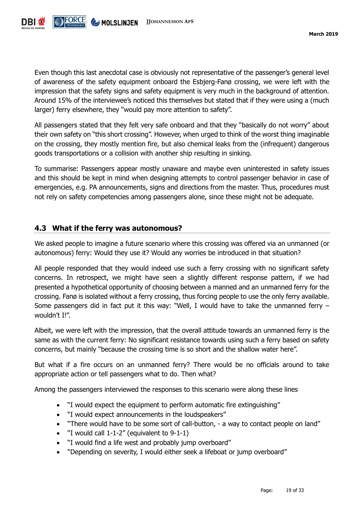

Even though this last anecdotal case is obviously not representative of the passenger's general level of awareness of the safety equipment onboard the Esbjerg-Fanø crossing, we were left with the impression that the safety signs and safety equipment is very much in the background of attention. Around 15% of the interviewee's noticed this themselves but stated that if they were using a (much larger) ferry elsewhere, they "would pay more attention to safety".

All passengers stated that they felt very safe onboard and that they "basically do not worry" about their own safety on "this short crossing". However, when urged to think of the worst thing imaginable on the crossing, they mostly mention fire, but also chemical leaks from the (infrequent) dangerous goods transportations or a collision with another ship resulting in sinking.

To summarise: Passengers appear mostly unaware and maybe even uninterested in safety issues and this should be kept in mind when designing attempts to control passenger behavior in case of emergencies, e.g. PA announcements, signs and directions from the master. Thus, procedures must not rely on safety competencies among passengers alone, since these might not be adequate.

#### <span id="page-18-0"></span>**4.3 What if the ferry was autonomous?**

We asked people to imagine a future scenario where this crossing was offered via an unmanned (or autonomous) ferry: Would they use it? Would any worries be introduced in that situation?

All people responded that they would indeed use such a ferry crossing with no significant safety concerns. In retrospect, we might have seen a slightly different response pattern, if we had presented a hypothetical opportunity of choosing between a manned and an unmanned ferry for the crossing. Fanø is isolated without a ferry crossing, thus forcing people to use the only ferry available. Some passengers did in fact put it this way: "Well, I would have to take the unmanned ferry – wouldn't I!".

Albeit, we were left with the impression, that the overall attitude towards an unmanned ferry is the same as with the current ferry: No significant resistance towards using such a ferry based on safety concerns, but mainly "because the crossing time is so short and the shallow water here".

But what if a fire occurs on an unmanned ferry? There would be no officials around to take appropriate action or tell passengers what to do. Then what?

Among the passengers interviewed the responses to this scenario were along these lines

- "I would expect the equipment to perform automatic fire extinguishing"
- "I would expect announcements in the loudspeakers"
- "There would have to be some sort of call-button, a way to contact people on land"
- "I would call 1-1-2" (equivalent to 9-1-1)
- "I would find a life west and probably jump overboard"
- "Depending on severity, I would either seek a lifeboat or jump overboard"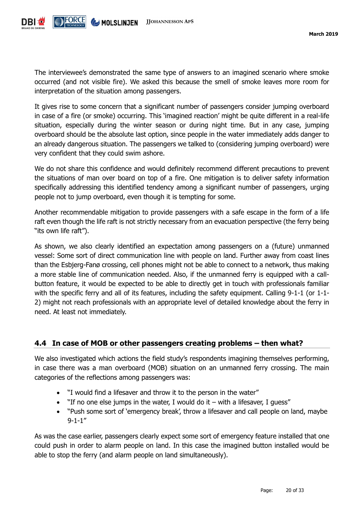

The interviewee's demonstrated the same type of answers to an imagined scenario where smoke occurred (and not visible fire). We asked this because the smell of smoke leaves more room for interpretation of the situation among passengers.

It gives rise to some concern that a significant number of passengers consider jumping overboard in case of a fire (or smoke) occurring. This 'imagined reaction' might be quite different in a real-life situation, especially during the winter season or during night time. But in any case, jumping overboard should be the absolute last option, since people in the water immediately adds danger to an already dangerous situation. The passengers we talked to (considering jumping overboard) were very confident that they could swim ashore.

We do not share this confidence and would definitely recommend different precautions to prevent the situations of man over board on top of a fire. One mitigation is to deliver safety information specifically addressing this identified tendency among a significant number of passengers, urging people not to jump overboard, even though it is tempting for some.

Another recommendable mitigation to provide passengers with a safe escape in the form of a life raft even though the life raft is not strictly necessary from an evacuation perspective (the ferry being "its own life raft").

As shown, we also clearly identified an expectation among passengers on a (future) unmanned vessel: Some sort of direct communication line with people on land. Further away from coast lines than the Esbjerg-Fanø crossing, cell phones might not be able to connect to a network, thus making a more stable line of communication needed. Also, if the unmanned ferry is equipped with a callbutton feature, it would be expected to be able to directly get in touch with professionals familiar with the specific ferry and all of its features, including the safety equipment. Calling 9-1-1 (or 1-1-2) might not reach professionals with an appropriate level of detailed knowledge about the ferry in need. At least not immediately.

#### <span id="page-19-0"></span>**4.4 In case of MOB or other passengers creating problems – then what?**

We also investigated which actions the field study's respondents imagining themselves performing, in case there was a man overboard (MOB) situation on an unmanned ferry crossing. The main categories of the reflections among passengers was:

- "I would find a lifesaver and throw it to the person in the water"
- $\bullet$  "If no one else jumps in the water, I would do it with a lifesaver, I guess"
- "Push some sort of 'emergency break', throw a lifesaver and call people on land, maybe 9-1-1"

As was the case earlier, passengers clearly expect some sort of emergency feature installed that one could push in order to alarm people on land. In this case the imagined button installed would be able to stop the ferry (and alarm people on land simultaneously).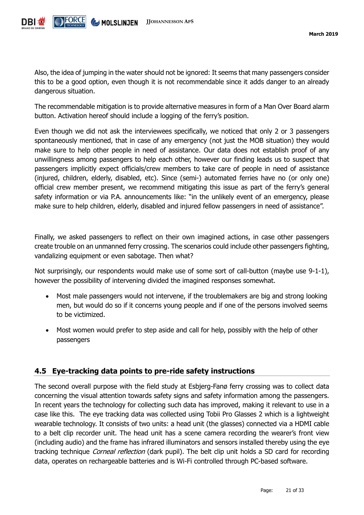

Also, the idea of jumping in the water should not be ignored: It seems that many passengers consider this to be a good option, even though it is not recommendable since it adds danger to an already dangerous situation.

The recommendable mitigation is to provide alternative measures in form of a Man Over Board alarm button. Activation hereof should include a logging of the ferry's position.

Even though we did not ask the interviewees specifically, we noticed that only 2 or 3 passengers spontaneously mentioned, that in case of any emergency (not just the MOB situation) they would make sure to help other people in need of assistance. Our data does not establish proof of any unwillingness among passengers to help each other, however our finding leads us to suspect that passengers implicitly expect officials/crew members to take care of people in need of assistance (injured, children, elderly, disabled, etc). Since (semi-) automated ferries have no (or only one) official crew member present, we recommend mitigating this issue as part of the ferry's general safety information or via P.A. announcements like: "in the unlikely event of an emergency, please make sure to help children, elderly, disabled and injured fellow passengers in need of assistance".

Finally, we asked passengers to reflect on their own imagined actions, in case other passengers create trouble on an unmanned ferry crossing. The scenarios could include other passengers fighting, vandalizing equipment or even sabotage. Then what?

Not surprisingly, our respondents would make use of some sort of call-button (maybe use 9-1-1), however the possibility of intervening divided the imagined responses somewhat.

- Most male passengers would not intervene, if the troublemakers are big and strong looking men, but would do so if it concerns young people and if one of the persons involved seems to be victimized.
- Most women would prefer to step aside and call for help, possibly with the help of other passengers

#### <span id="page-20-0"></span>**4.5 Eye-tracking data points to pre-ride safety instructions**

The second overall purpose with the field study at Esbjerg-Fanø ferry crossing was to collect data concerning the visual attention towards safety signs and safety information among the passengers. In recent years the technology for collecting such data has improved, making it relevant to use in a case like this. The eye tracking data was collected using Tobii Pro Glasses 2 which is a lightweight wearable technology. It consists of two units: a head unit (the glasses) connected via a HDMI cable to a belt clip recorder unit. The head unit has a scene camera recording the wearer's front view (including audio) and the frame has infrared illuminators and sensors installed thereby using the eye tracking technique *Corneal reflection* (dark pupil). The belt clip unit holds a SD card for recording data, operates on rechargeable batteries and is Wi-Fi controlled through PC-based software.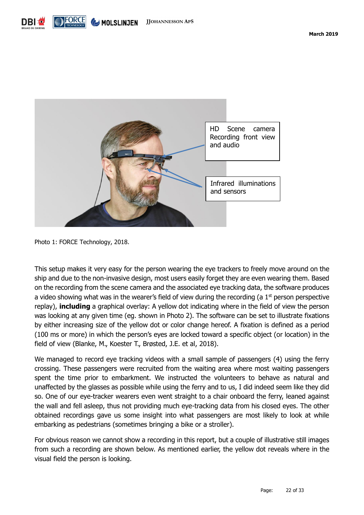



Photo 1: FORCE Technology, 2018.

This setup makes it very easy for the person wearing the eye trackers to freely move around on the ship and due to the non-invasive design, most users easily forget they are even wearing them. Based on the recording from the scene camera and the associated eye tracking data, the software produces a video showing what was in the wearer's field of view during the recording (a  $1<sup>st</sup>$  person perspective replay), **including** a graphical overlay: A yellow dot indicating where in the field of view the person was looking at any given time (eg. shown in Photo 2). The software can be set to illustrate fixations by either increasing size of the yellow dot or color change hereof. A fixation is defined as a period (100 ms or more) in which the person's eyes are locked toward a specific object (or location) in the field of view (Blanke, M., Koester T., Brøsted, J.E. et al, 2018).

We managed to record eye tracking videos with a small sample of passengers (4) using the ferry crossing. These passengers were recruited from the waiting area where most waiting passengers spent the time prior to embarkment. We instructed the volunteers to behave as natural and unaffected by the glasses as possible while using the ferry and to us, I did indeed seem like they did so. One of our eye-tracker wearers even went straight to a chair onboard the ferry, leaned against the wall and fell asleep, thus not providing much eye-tracking data from his closed eyes. The other obtained recordings gave us some insight into what passengers are most likely to look at while embarking as pedestrians (sometimes bringing a bike or a stroller).

For obvious reason we cannot show a recording in this report, but a couple of illustrative still images from such a recording are shown below. As mentioned earlier, the yellow dot reveals where in the visual field the person is looking.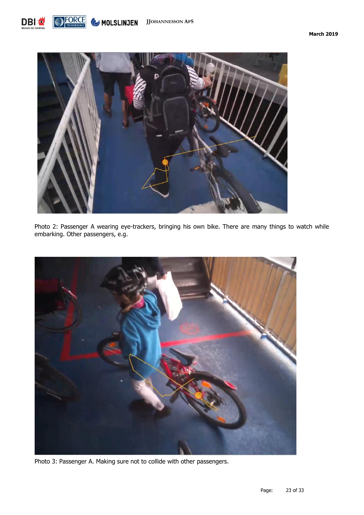



Photo 2: Passenger A wearing eye-trackers, bringing his own bike. There are many things to watch while embarking. Other passengers, e.g.



Photo 3: Passenger A. Making sure not to collide with other passengers.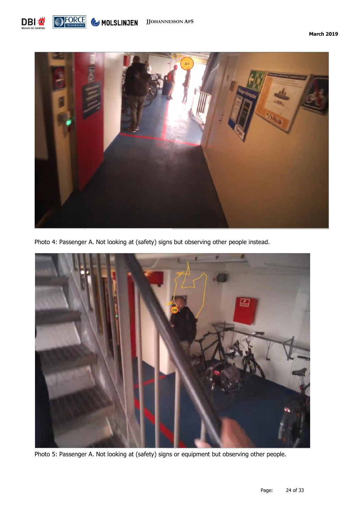



Photo 4: Passenger A. Not looking at (safety) signs but observing other people instead.



Photo 5: Passenger A. Not looking at (safety) signs or equipment but observing other people.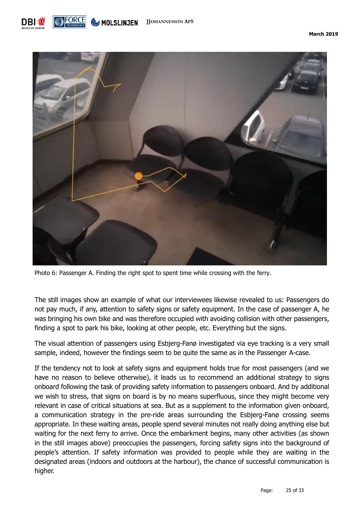



Photo 6: Passenger A. Finding the right spot to spent time while crossing with the ferry.

The still images show an example of what our interviewees likewise revealed to us: Passengers do not pay much, if any, attention to safety signs or safety equipment. In the case of passenger A, he was bringing his own bike and was therefore occupied with avoiding collision with other passengers, finding a spot to park his bike, looking at other people, etc. Everything but the signs.

The visual attention of passengers using Esbjerg-Fanø investigated via eye tracking is a very small sample, indeed, however the findings seem to be quite the same as in the Passenger A-case.

If the tendency not to look at safety signs and equipment holds true for most passengers (and we have no reason to believe otherwise), it leads us to recommend an additional strategy to signs onboard following the task of providing safety information to passengers onboard. And by additional we wish to stress, that signs on board is by no means superfluous, since they might become very relevant in case of critical situations at sea. But as a supplement to the information given onboard, a communication strategy in the pre-ride areas surrounding the Esbjerg-Fanø crossing seems appropriate. In these waiting areas, people spend several minutes not really doing anything else but waiting for the next ferry to arrive. Once the embarkment begins, many other activities (as shown in the still images above) preoccupies the passengers, forcing safety signs into the background of people's attention. If safety information was provided to people while they are waiting in the designated areas (indoors and outdoors at the harbour), the chance of successful communication is higher.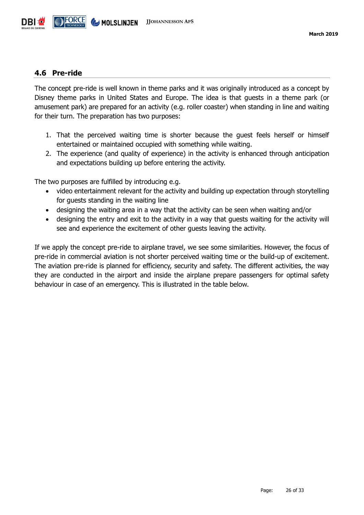

#### <span id="page-25-0"></span>**4.6 Pre-ride**

The concept pre-ride is well known in theme parks and it was originally introduced as a concept by Disney theme parks in United States and Europe. The idea is that guests in a theme park (or amusement park) are prepared for an activity (e.g. roller coaster) when standing in line and waiting for their turn. The preparation has two purposes:

- 1. That the perceived waiting time is shorter because the guest feels herself or himself entertained or maintained occupied with something while waiting.
- 2. The experience (and quality of experience) in the activity is enhanced through anticipation and expectations building up before entering the activity.

The two purposes are fulfilled by introducing e.g.

- video entertainment relevant for the activity and building up expectation through storytelling for guests standing in the waiting line
- designing the waiting area in a way that the activity can be seen when waiting and/or
- designing the entry and exit to the activity in a way that guests waiting for the activity will see and experience the excitement of other guests leaving the activity.

If we apply the concept pre-ride to airplane travel, we see some similarities. However, the focus of pre-ride in commercial aviation is not shorter perceived waiting time or the build-up of excitement. The aviation pre-ride is planned for efficiency, security and safety. The different activities, the way they are conducted in the airport and inside the airplane prepare passengers for optimal safety behaviour in case of an emergency. This is illustrated in the table below.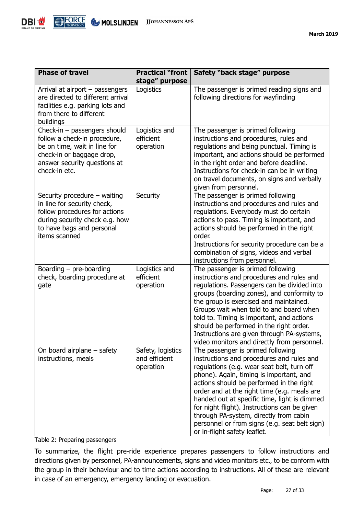

| <b>Phase of travel</b>                                                                                                                                                       | <b>Practical "front</b><br>stage" purpose       | Safety "back stage" purpose                                                                                                                                                                                                                                                                                                                                                                                                                                                                   |
|------------------------------------------------------------------------------------------------------------------------------------------------------------------------------|-------------------------------------------------|-----------------------------------------------------------------------------------------------------------------------------------------------------------------------------------------------------------------------------------------------------------------------------------------------------------------------------------------------------------------------------------------------------------------------------------------------------------------------------------------------|
| Arrival at airport - passengers<br>are directed to different arrival<br>facilities e.g. parking lots and<br>from there to different<br>buildings                             | Logistics                                       | The passenger is primed reading signs and<br>following directions for wayfinding                                                                                                                                                                                                                                                                                                                                                                                                              |
| Check-in - passengers should<br>follow a check-in procedure,<br>be on time, wait in line for<br>check-in or baggage drop,<br>answer security questions at<br>check-in etc.   | Logistics and<br>efficient<br>operation         | The passenger is primed following<br>instructions and procedures, rules and<br>regulations and being punctual. Timing is<br>important, and actions should be performed<br>in the right order and before deadline.<br>Instructions for check-in can be in writing<br>on travel documents, on signs and verbally<br>given from personnel.                                                                                                                                                       |
| Security procedure - waiting<br>in line for security check,<br>follow procedures for actions<br>during security check e.g. how<br>to have bags and personal<br>items scanned | Security                                        | The passenger is primed following<br>instructions and procedures and rules and<br>regulations. Everybody must do certain<br>actions to pass. Timing is important, and<br>actions should be performed in the right<br>order.<br>Instructions for security procedure can be a<br>combination of signs, videos and verbal<br>instructions from personnel.                                                                                                                                        |
| Boarding $-$ pre-boarding<br>check, boarding procedure at<br>gate                                                                                                            | Logistics and<br>efficient<br>operation         | The passenger is primed following<br>instructions and procedures and rules and<br>regulations. Passengers can be divided into<br>groups (boarding zones), and conformity to<br>the group is exercised and maintained.<br>Groups wait when told to and board when<br>told to. Timing is important, and actions<br>should be performed in the right order.<br>Instructions are given through PA-systems,<br>video monitors and directly from personnel.                                         |
| On board airplane $-$ safety<br>instructions, meals                                                                                                                          | Safety, logistics<br>and efficient<br>operation | The passenger is primed following<br>instructions and procedures and rules and<br>regulations (e.g. wear seat belt, turn off<br>phone). Again, timing is important, and<br>actions should be performed in the right<br>order and at the right time (e.g. meals are<br>handed out at specific time, light is dimmed<br>for night flight). Instructions can be given<br>through PA-system, directly from cabin<br>personnel or from signs (e.g. seat belt sign)<br>or in-flight safety leaflet. |

Table 2: Preparing passengers

To summarize, the flight pre-ride experience prepares passengers to follow instructions and directions given by personnel, PA-announcements, signs and video monitors etc., to be conform with the group in their behaviour and to time actions according to instructions. All of these are relevant in case of an emergency, emergency landing or evacuation.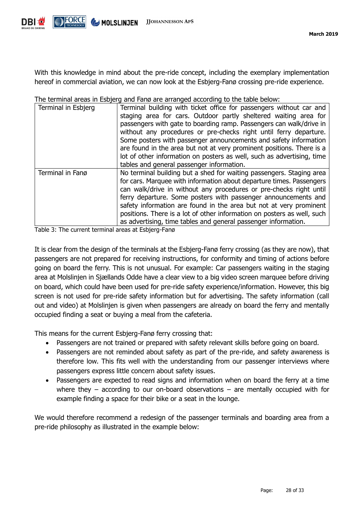

With this knowledge in mind about the pre-ride concept, including the exemplary implementation hereof in commercial aviation, we can now look at the Esbjerg-Fanø crossing pre-ride experience.

| Terminal in Esbjerg | Terminal building with ticket office for passengers without car and<br>staging area for cars. Outdoor partly sheltered waiting area for<br>passengers with gate to boarding ramp. Passengers can walk/drive in<br>without any procedures or pre-checks right until ferry departure.<br>Some posters with passenger announcements and safety information<br>are found in the area but not at very prominent positions. There is a<br>lot of other information on posters as well, such as advertising, time<br>tables and general passenger information. |
|---------------------|---------------------------------------------------------------------------------------------------------------------------------------------------------------------------------------------------------------------------------------------------------------------------------------------------------------------------------------------------------------------------------------------------------------------------------------------------------------------------------------------------------------------------------------------------------|
| Terminal in Fanø    | No terminal building but a shed for waiting passengers. Staging area<br>for cars. Marquee with information about departure times. Passengers<br>can walk/drive in without any procedures or pre-checks right until<br>ferry departure. Some posters with passenger announcements and<br>safety information are found in the area but not at very prominent<br>positions. There is a lot of other information on posters as well, such<br>as advertising, time tables and general passenger information.                                                 |

The terminal areas in Esbjerg and Fanø are arranged according to the table below:

Table 3: The current terminal areas at Esbjerg-Fanø

It is clear from the design of the terminals at the Esbjerg-Fanø ferry crossing (as they are now), that passengers are not prepared for receiving instructions, for conformity and timing of actions before going on board the ferry. This is not unusual. For example: Car passengers waiting in the staging area at Molslinjen in Sjællands Odde have a clear view to a big video screen marquee before driving on board, which could have been used for pre-ride safety experience/information. However, this big screen is not used for pre-ride safety information but for advertising. The safety information (call out and video) at Molslinjen is given when passengers are already on board the ferry and mentally occupied finding a seat or buying a meal from the cafeteria.

This means for the current Esbjerg-Fanø ferry crossing that:

- Passengers are not trained or prepared with safety relevant skills before going on board.
- Passengers are not reminded about safety as part of the pre-ride, and safety awareness is therefore low. This fits well with the understanding from our passenger interviews where passengers express little concern about safety issues.
- Passengers are expected to read signs and information when on board the ferry at a time where they – according to our on-board observations – are mentally occupied with for example finding a space for their bike or a seat in the lounge.

We would therefore recommend a redesign of the passenger terminals and boarding area from a pre-ride philosophy as illustrated in the example below: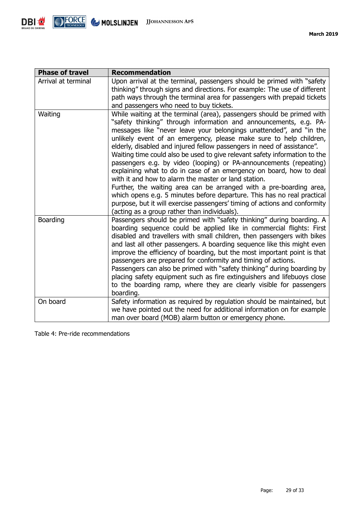

| <b>Phase of travel</b> | <b>Recommendation</b>                                                                                                                                                                                                                                                                                                                                                                                                                                                                                                                                                                                                                                                                                                                                                                                                                                                                                                                  |
|------------------------|----------------------------------------------------------------------------------------------------------------------------------------------------------------------------------------------------------------------------------------------------------------------------------------------------------------------------------------------------------------------------------------------------------------------------------------------------------------------------------------------------------------------------------------------------------------------------------------------------------------------------------------------------------------------------------------------------------------------------------------------------------------------------------------------------------------------------------------------------------------------------------------------------------------------------------------|
| Arrival at terminal    | Upon arrival at the terminal, passengers should be primed with "safety"<br>thinking" through signs and directions. For example: The use of different<br>path ways through the terminal area for passengers with prepaid tickets<br>and passengers who need to buy tickets.                                                                                                                                                                                                                                                                                                                                                                                                                                                                                                                                                                                                                                                             |
| Waiting                | While waiting at the terminal (area), passengers should be primed with<br>"safety thinking" through information and announcements, e.g. PA-<br>messages like "never leave your belongings unattended", and "in the<br>unlikely event of an emergency, please make sure to help children,<br>elderly, disabled and injured fellow passengers in need of assistance".<br>Waiting time could also be used to give relevant safety information to the<br>passengers e.g. by video (looping) or PA-announcements (repeating)<br>explaining what to do in case of an emergency on board, how to deal<br>with it and how to alarm the master or land station.<br>Further, the waiting area can be arranged with a pre-boarding area,<br>which opens e.g. 5 minutes before departure. This has no real practical<br>purpose, but it will exercise passengers' timing of actions and conformity<br>(acting as a group rather than individuals). |
| Boarding               | Passengers should be primed with "safety thinking" during boarding. A<br>boarding sequence could be applied like in commercial flights: First<br>disabled and travellers with small children, then passengers with bikes<br>and last all other passengers. A boarding sequence like this might even<br>improve the efficiency of boarding, but the most important point is that<br>passengers are prepared for conformity and timing of actions.<br>Passengers can also be primed with "safety thinking" during boarding by<br>placing safety equipment such as fire extinguishers and lifebuoys close<br>to the boarding ramp, where they are clearly visible for passengers<br>boarding.                                                                                                                                                                                                                                             |
| On board               | Safety information as required by regulation should be maintained, but                                                                                                                                                                                                                                                                                                                                                                                                                                                                                                                                                                                                                                                                                                                                                                                                                                                                 |
|                        | we have pointed out the need for additional information on for example<br>man over board (MOB) alarm button or emergency phone.                                                                                                                                                                                                                                                                                                                                                                                                                                                                                                                                                                                                                                                                                                                                                                                                        |

Table 4: Pre-ride recommendations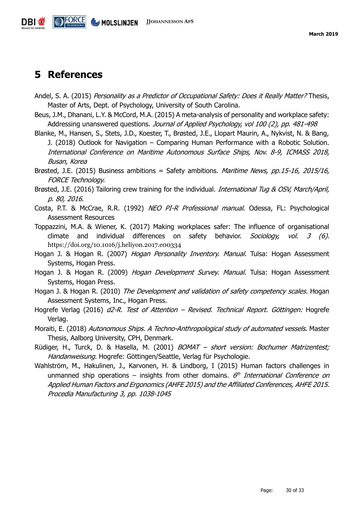

### <span id="page-29-0"></span>**5 References**

- Andel, S. A. (2015) *Personality as a Predictor of Occupational Safety: Does it Really Matter?* Thesis, Master of Arts, Dept. of Psychology, University of South Carolina.
- Beus, J.M., Dhanani, L.Y. & McCord, M.A. (2015) A meta-analysis of personality and workplace safety: Addressing unanswered questions. Journal of Applied Psychology, vol 100 (2), pp. 481-498
- Blanke, M., Hansen, S., Stets, J.D., Koester, T., Brøsted, J.E., Llopart Maurin, A., Nykvist, N. & Bang, J. (2018) Outlook for Navigation – Comparing Human Performance with a Robotic Solution. International Conference on Maritime Autonomous Surface Ships, Nov. 8-9, ICMASS 2018, Busan, Korea
- Brøsted, J.E. (2015) Business ambitions = Safety ambitions. *Maritime News, pp.15-16, 2015/16,* FORCE Technology.
- Brøsted, J.E. (2016) Tailoring crew training for the individual. *International Tug & OSV, March/April,* p. 80, 2016.
- Costa, P.T. & McCrae, R.R. (1992) NEO PI-R Professional manual. Odessa, FL: Psychological Assessment Resources
- Toppazzini, M.A. & Wiener, K. (2017) Making workplaces safer: The influence of organisational climate and individual differences on safety behavior. Sociology, vol. 3 (6). https://doi.org/10.1016/j.heliyon.2017.e00334
- Hogan J. & Hogan R. (2007) *Hogan Personality Inventory. Manual.* Tulsa: Hogan Assessment Systems, Hogan Press.
- Hogan J. & Hogan R. (2009) *Hogan Development Survey. Manual.* Tulsa: Hogan Assessment Systems, Hogan Press.
- Hogan J. & Hogan R. (2010) *The Development and validation of safety competency scales.* Hogan Assessment Systems, Inc., Hogan Press.
- Hogrefe Verlag (2016) d2-R. Test of Attention Revised. Technical Report. Göttingen: Hogrefe Verlag.
- Moraiti, E. (2018) Autonomous Ships. A Techno-Anthropological study of automated vessels. Master Thesis, Aalborg University, CPH, Denmark.
- Rüdiger, H., Turck, D. & Hasella, M. (2001) BOMAT short version: Bochumer Matrizentest; Handanweisung. Hogrefe: Göttingen/Seattle, Verlag für Psychologie.
- Wahlström, M., Hakulinen, J., Karvonen, H. & Lindborg, I (2015) Human factors challenges in unmanned ship operations – insights from other domains.  $6<sup>th</sup> International Conference on$ Applied Human Factors and Ergonomics (AHFE 2015) and the Affiliated Conferences, AHFE 2015. Procedia Manufacturing 3, pp. 1038-1045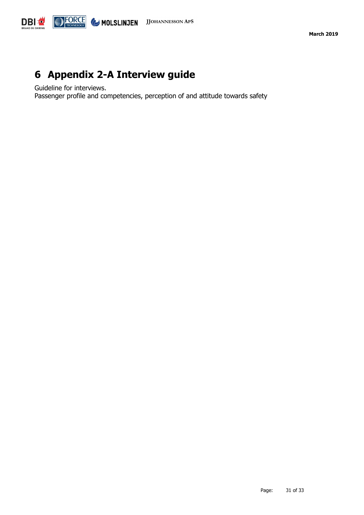

## <span id="page-30-0"></span>**6 Appendix 2-A Interview guide**

Guideline for interviews.

Passenger profile and competencies, perception of and attitude towards safety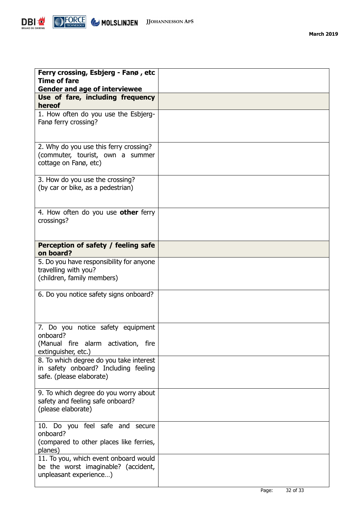

| Ferry crossing, Esbjerg - Fanø, etc<br><b>Time of fare</b>                                                  |  |
|-------------------------------------------------------------------------------------------------------------|--|
| <b>Gender and age of interviewee</b><br>Use of fare, including frequency                                    |  |
| hereof                                                                                                      |  |
| 1. How often do you use the Esbjerg-<br>Fanø ferry crossing?                                                |  |
| 2. Why do you use this ferry crossing?<br>(commuter, tourist, own a summer<br>cottage on Fanø, etc)         |  |
| 3. How do you use the crossing?<br>(by car or bike, as a pedestrian)                                        |  |
| 4. How often do you use other ferry<br>crossings?                                                           |  |
| Perception of safety / feeling safe<br>on board?                                                            |  |
| 5. Do you have responsibility for anyone<br>travelling with you?<br>(children, family members)              |  |
| 6. Do you notice safety signs onboard?                                                                      |  |
| 7. Do you notice safety equipment<br>onboard?<br>(Manual fire alarm activation, fire<br>extinguisher, etc.) |  |
| 8. To which degree do you take interest<br>in safety onboard? Including feeling<br>safe. (please elaborate) |  |
| 9. To which degree do you worry about<br>safety and feeling safe onboard?<br>(please elaborate)             |  |
| 10. Do you feel safe and secure<br>onboard?<br>(compared to other places like ferries,<br>planes)           |  |
| 11. To you, which event onboard would<br>be the worst imaginable? (accident,<br>unpleasant experience)      |  |